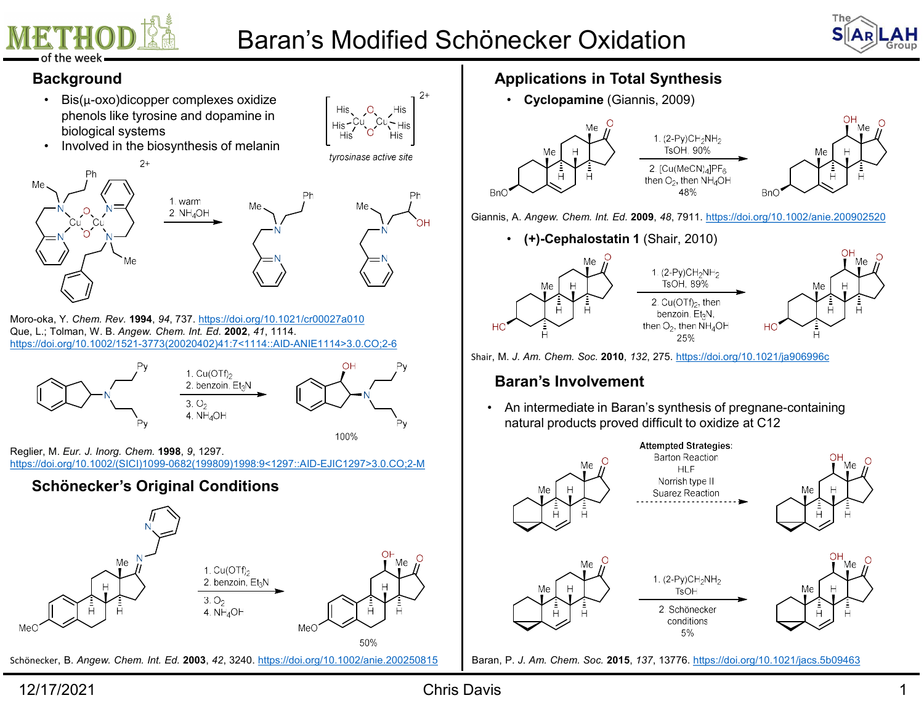

# Baran's Modified Schönecker Oxidation<br>  $\begin{array}{r} \text{The} \\ \text{S} \text{A} \text{R} \text{L} \text{A} \text{H} \\ \text{B} \text{C} \text{C} \text{C} \text{C} \text{A} \text{D} \text{A} \text{D} \text{A} \text{D} \text{D} \text{A} \text{D} \text{D} \text{A} \text{D} \text{D} \text{A} \text{D} \text{D} \text{A} \text{D} \text{D} \text{A} \text{D} \text{D} \text$





- **ETHOD ALLET BED BERGEN BERGEN BERGEN SCHÖNECKS**<br>
Positive week **ackground**<br>
 Bis( $\mu$ -oxo)dicopper complexes oxidize<br>
phenols like tyrosine and dopamine in<br>
 Involved in the biosynthesis of melanin<br>
<sup>2+</sup><br>
<sup>Ph</sup><br>
<sup>2+</sup><br>
<sup></sup> phenols like tyrosine and dopamine in biological systems
- 



Que, L.; Tolman, W. B. Angew. Chem. Int. Ed. 2002, 41, 1114. https://doi.org/10.1002/1521-3773(20020402)41:7<1114::AID-ANIE1114>3.0.CO;2-6



https://doi.org/10.1002/(SICI)1099-0682(199809)1998:9<1297::AID-EJIC1297>3.0.CO;2-M



Schönecker, B. Angew. Chem. Int. Ed. 2003, 42, 3240. https://doi.org/10.1002/anie.200250815

# Applications in Total Synthesis

• Cyclopamine (Giannis, 2009)



Giannis, A. Angew. Chem. Int. Ed. 2009, 48, 7911. https://doi.org/10.1002/anie.200902520



# Baran's Involvement



Baran, P. J. Am. Chem. Soc. 2015, 137, 13776. https://doi.org/10.1021/jacs.5b09463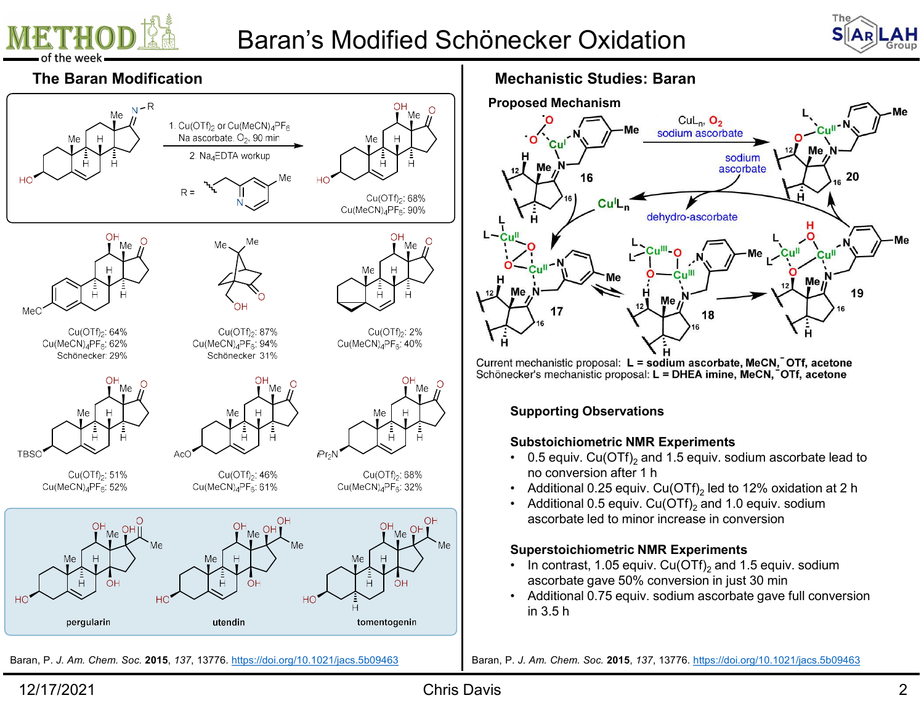

# Baran's Modified Schönecker Oxidation<br>
Mechanistic Studies: Baran<br>
Proposed Mechanism





Mechanistic Studies: Baran



# Supporting Observations

- no conversion after 1 h
- Additional 0.25 equiv. Cu(OTf)<sub>2</sub> led to 12% oxidation at 2 h
- Additional 0.5 equiv.  $Cu(OTf)$ , and 1.0 equiv. sodium ascorbate led to minor increase in conversion

- In contrast, 1.05 equiv.  $Cu(OTf)_{2}$  and 1.5 equiv. sodium
- in 3.5 h

Baran, P. J. Am. Chem. Soc. 2015, 137, 13776. https://doi.org/10.1021/jacs.5b09463 Baran, P. J. Am. Chem. Soc. 2015, 137, 13776. https://doi.org/10.1021/jacs.5b09463